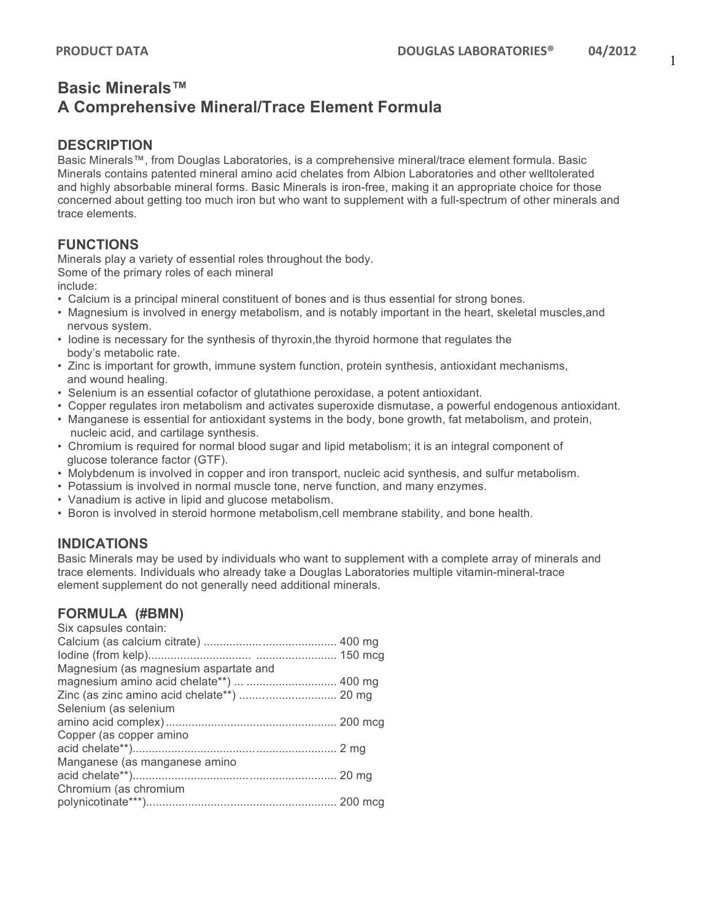# **Basic Minerals™ A Comprehensive Mineral/Trace Element Formula**

### **DESCRIPTION**

Basic Minerals™, from Douglas Laboratories, is a comprehensive mineral/trace element formula. Basic Minerals contains patented mineral amino acid chelates from Albion Laboratories and other welltolerated and highly absorbable mineral forms. Basic Minerals is iron-free, making it an appropriate choice for those concerned about getting too much iron but who want to supplement with a full-spectrum of other minerals and trace elements.

## **FUNCTIONS**

Minerals play a variety of essential roles throughout the body. Some of the primary roles of each mineral

include:

- Calcium is a principal mineral constituent of bones and is thus essential for strong bones.
- Magnesium is involved in energy metabolism, and is notably important in the heart, skeletal muscles,and nervous system.
- Iodine is necessary for the synthesis of thyroxin,the thyroid hormone that regulates the body's metabolic rate.
- Zinc is important for growth, immune system function, protein synthesis, antioxidant mechanisms, and wound healing.
- Selenium is an essential cofactor of glutathione peroxidase, a potent antioxidant.
- Copper regulates iron metabolism and activates superoxide dismutase, a powerful endogenous antioxidant.
- Manganese is essential for antioxidant systems in the body, bone growth, fat metabolism, and protein, nucleic acid, and cartilage synthesis.
- Chromium is required for normal blood sugar and lipid metabolism; it is an integral component of glucose tolerance factor (GTF).
- Molybdenum is involved in copper and iron transport, nucleic acid synthesis, and sulfur metabolism.
- Potassium is involved in normal muscle tone, nerve function, and many enzymes.
- Vanadium is active in lipid and glucose metabolism.
- Boron is involved in steroid hormone metabolism,cell membrane stability, and bone health.

## **INDICATIONS**

Basic Minerals may be used by individuals who want to supplement with a complete array of minerals and trace elements. Individuals who already take a Douglas Laboratories multiple vitamin-mineral-trace element supplement do not generally need additional minerals.

#### **FORMULA (#BMN)**

| Six capsules contain:                 |  |
|---------------------------------------|--|
|                                       |  |
|                                       |  |
| Magnesium (as magnesium aspartate and |  |
|                                       |  |
|                                       |  |
| Selenium (as selenium                 |  |
|                                       |  |
| Copper (as copper amino               |  |
|                                       |  |
| Manganese (as manganese amino         |  |
|                                       |  |
| Chromium (as chromium                 |  |
|                                       |  |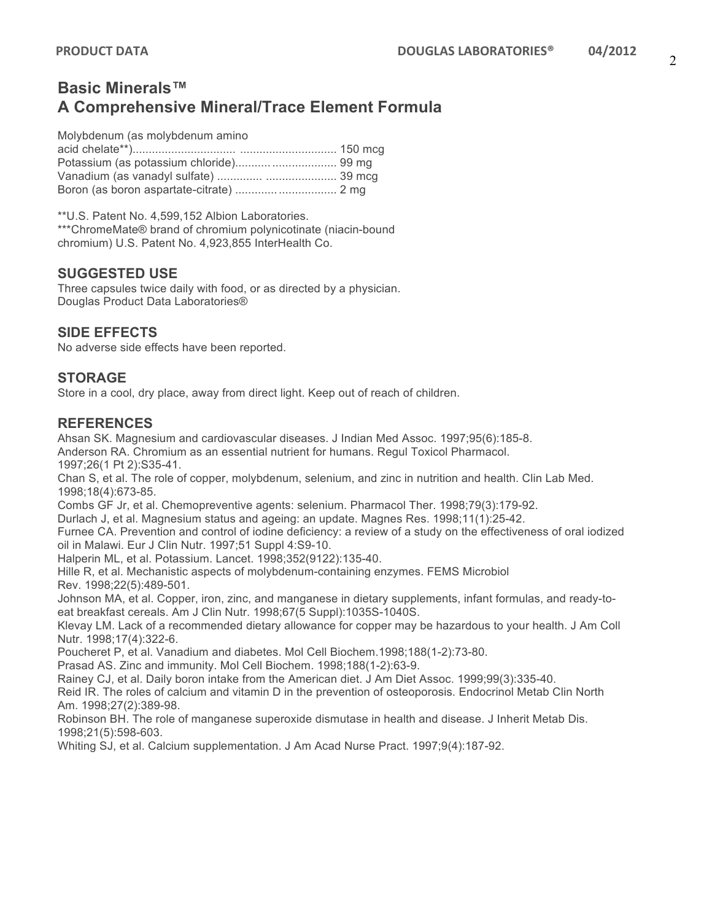# **Basic Minerals™ A Comprehensive Mineral/Trace Element Formula**

Molybdenum (as molybdenum amino

\*\*U.S. Patent No. 4,599,152 Albion Laboratories. \*\*\*ChromeMate® brand of chromium polynicotinate (niacin-bound chromium) U.S. Patent No. 4,923,855 InterHealth Co.

#### **SUGGESTED USE**

Three capsules twice daily with food, or as directed by a physician. Douglas Product Data Laboratories®

### **SIDE EFFECTS**

No adverse side effects have been reported.

### **STORAGE**

Store in a cool, dry place, away from direct light. Keep out of reach of children.

#### **REFERENCES**

Ahsan SK. Magnesium and cardiovascular diseases. J Indian Med Assoc. 1997;95(6):185-8. Anderson RA. Chromium as an essential nutrient for humans. Regul Toxicol Pharmacol. 1997;26(1 Pt 2):S35-41.

Chan S, et al. The role of copper, molybdenum, selenium, and zinc in nutrition and health. Clin Lab Med. 1998;18(4):673-85.

Combs GF Jr, et al. Chemopreventive agents: selenium. Pharmacol Ther. 1998;79(3):179-92.

Durlach J, et al. Magnesium status and ageing: an update. Magnes Res. 1998;11(1):25-42.

Furnee CA. Prevention and control of iodine deficiency: a review of a study on the effectiveness of oral iodized oil in Malawi. Eur J Clin Nutr. 1997;51 Suppl 4:S9-10.

Halperin ML, et al. Potassium. Lancet. 1998;352(9122):135-40.

Hille R, et al. Mechanistic aspects of molybdenum-containing enzymes. FEMS Microbiol Rev. 1998;22(5):489-501.

Johnson MA, et al. Copper, iron, zinc, and manganese in dietary supplements, infant formulas, and ready-toeat breakfast cereals. Am J Clin Nutr. 1998;67(5 Suppl):1035S-1040S.

Klevay LM. Lack of a recommended dietary allowance for copper may be hazardous to your health. J Am Coll Nutr. 1998;17(4):322-6.

Poucheret P, et al. Vanadium and diabetes. Mol Cell Biochem.1998;188(1-2):73-80.

Prasad AS. Zinc and immunity. Mol Cell Biochem. 1998;188(1-2):63-9.

Rainey CJ, et al. Daily boron intake from the American diet. J Am Diet Assoc. 1999;99(3):335-40.

Reid IR. The roles of calcium and vitamin D in the prevention of osteoporosis. Endocrinol Metab Clin North Am. 1998;27(2):389-98.

Robinson BH. The role of manganese superoxide dismutase in health and disease. J Inherit Metab Dis. 1998;21(5):598-603.

Whiting SJ, et al. Calcium supplementation. J Am Acad Nurse Pract. 1997;9(4):187-92.